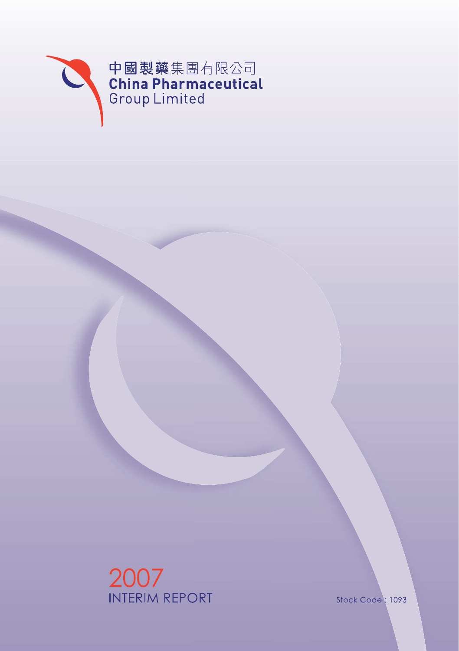

2007<br>INTERIM REPORT

Stock Code: 1093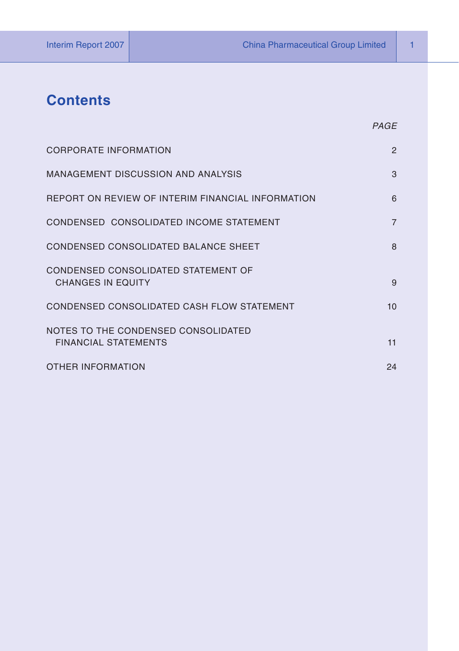# **Contents**

| <b>CORPORATE INFORMATION</b>                                       | $\overline{2}$ |
|--------------------------------------------------------------------|----------------|
| MANAGEMENT DISCUSSION AND ANALYSIS                                 | 3              |
| REPORT ON REVIEW OF INTERIM FINANCIAL INFORMATION                  | 6              |
| CONDENSED CONSOLIDATED INCOME STATEMENT                            | $\overline{7}$ |
| CONDENSED CONSOLIDATED BALANCE SHEET                               | 8              |
| CONDENSED CONSOLIDATED STATEMENT OF<br><b>CHANGES IN EQUITY</b>    | 9              |
| CONDENSED CONSOLIDATED CASH FLOW STATEMENT                         | 10             |
| NOTES TO THE CONDENSED CONSOLIDATED<br><b>FINANCIAL STATEMENTS</b> | 11             |
| <b>OTHER INFORMATION</b>                                           | 24             |

*PAGE*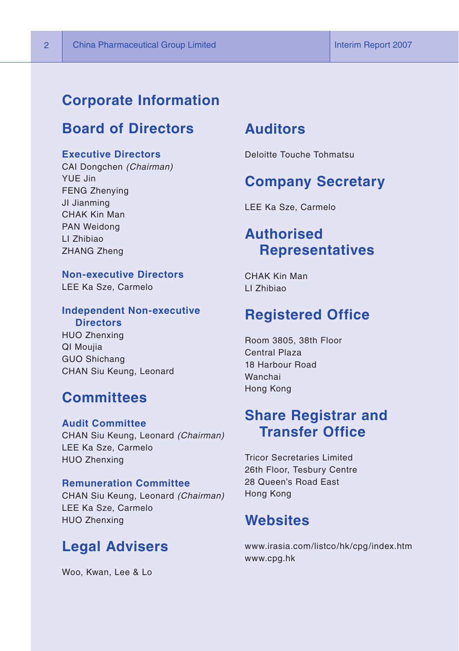### **Corporate Information**

# **Board of Directors**

#### **Executive Directors**

CAI Dongchen *(Chairman)* YUE Jin FENG Zhenying JI Jianming CHAK Kin Man PAN Weidong LI Zhibiao ZHANG Zheng

**Non-executive Directors** LEE Ka Sze, Carmelo

#### **Independent Non-executive Directors**

HUO Zhenxing QI Moujia GUO Shichang CHAN Siu Keung, Leonard

### **Committees**

**Audit Committee** CHAN Siu Keung, Leonard *(Chairman)* LEE Ka Sze, Carmelo HUO Zhenxing

#### **Remuneration Committee**

CHAN Siu Keung, Leonard *(Chairman)* LEE Ka Sze, Carmelo HUO Zhenxing

### **Legal Advisers**

Woo, Kwan, Lee & Lo

### **Auditors**

Deloitte Touche Tohmatsu

### **Company Secretary**

LEE Ka Sze, Carmelo

# **Authorised Representatives**

CHAK Kin Man LI Zhibiao

### **Registered Office**

Room 3805, 38th Floor Central Plaza 18 Harbour Road Wanchai Hong Kong

# **Share Registrar and Transfer Office**

Tricor Secretaries Limited 26th Floor, Tesbury Centre 28 Queen's Road East Hong Kong

# **Websites**

www.irasia.com/listco/hk/cpg/index.htm www.cpg.hk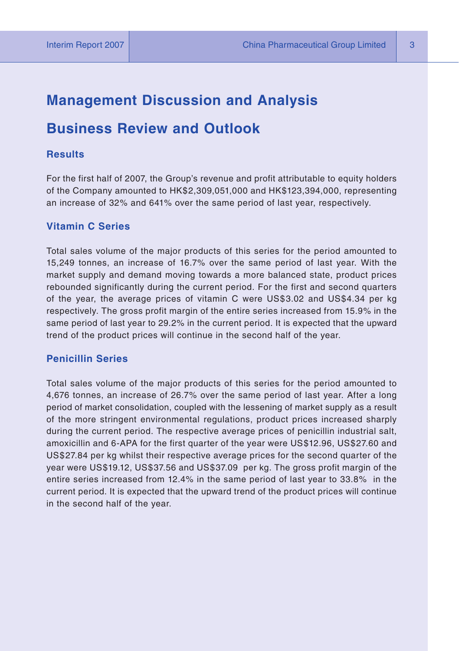### **Management Discussion and Analysis**

### **Business Review and Outlook**

#### **Results**

For the first half of 2007, the Group's revenue and profit attributable to equity holders of the Company amounted to HK\$2,309,051,000 and HK\$123,394,000, representing an increase of 32% and 641% over the same period of last year, respectively.

#### **Vitamin C Series**

Total sales volume of the major products of this series for the period amounted to 15,249 tonnes, an increase of 16.7% over the same period of last year. With the market supply and demand moving towards a more balanced state, product prices rebounded significantly during the current period. For the first and second quarters of the year, the average prices of vitamin C were US\$3.02 and US\$4.34 per kg respectively. The gross profit margin of the entire series increased from 15.9% in the same period of last year to 29.2% in the current period. It is expected that the upward trend of the product prices will continue in the second half of the year.

#### **Penicillin Series**

Total sales volume of the major products of this series for the period amounted to 4,676 tonnes, an increase of 26.7% over the same period of last year. After a long period of market consolidation, coupled with the lessening of market supply as a result of the more stringent environmental regulations, product prices increased sharply during the current period. The respective average prices of penicillin industrial salt, amoxicillin and 6-APA for the first quarter of the year were US\$12.96, US\$27.60 and US\$27.84 per kg whilst their respective average prices for the second quarter of the year were US\$19.12, US\$37.56 and US\$37.09 per kg. The gross profit margin of the entire series increased from 12.4% in the same period of last year to 33.8% in the current period. It is expected that the upward trend of the product prices will continue in the second half of the year.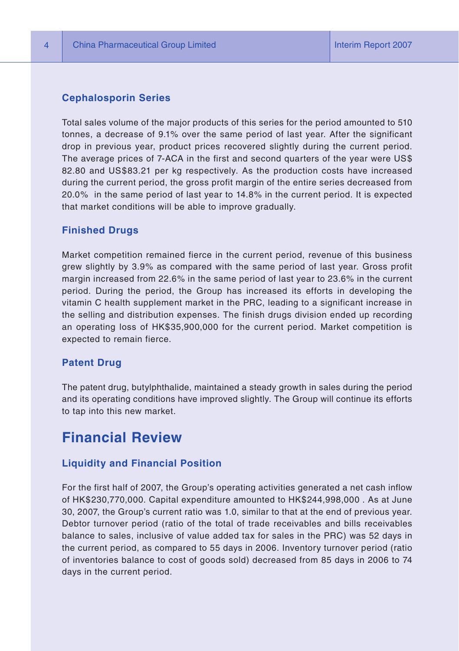#### **Cephalosporin Series**

Total sales volume of the major products of this series for the period amounted to 510 tonnes, a decrease of 9.1% over the same period of last year. After the significant drop in previous year, product prices recovered slightly during the current period. The average prices of 7-ACA in the first and second quarters of the year were US\$ 82.80 and US\$83.21 per kg respectively. As the production costs have increased during the current period, the gross profit margin of the entire series decreased from 20.0% in the same period of last year to 14.8% in the current period. It is expected that market conditions will be able to improve gradually.

#### **Finished Drugs**

Market competition remained fierce in the current period, revenue of this business grew slightly by 3.9% as compared with the same period of last year. Gross profit margin increased from 22.6% in the same period of last year to 23.6% in the current period. During the period, the Group has increased its efforts in developing the vitamin C health supplement market in the PRC, leading to a significant increase in the selling and distribution expenses. The finish drugs division ended up recording an operating loss of HK\$35,900,000 for the current period. Market competition is expected to remain fierce.

#### **Patent Drug**

The patent drug, butylphthalide, maintained a steady growth in sales during the period and its operating conditions have improved slightly. The Group will continue its efforts to tap into this new market.

# **Financial Review**

#### **Liquidity and Financial Position**

For the first half of 2007, the Group's operating activities generated a net cash inflow of HK\$230,770,000. Capital expenditure amounted to HK\$244,998,000 . As at June 30, 2007, the Group's current ratio was 1.0, similar to that at the end of previous year. Debtor turnover period (ratio of the total of trade receivables and bills receivables balance to sales, inclusive of value added tax for sales in the PRC) was 52 days in the current period, as compared to 55 days in 2006. Inventory turnover period (ratio of inventories balance to cost of goods sold) decreased from 85 days in 2006 to 74 days in the current period.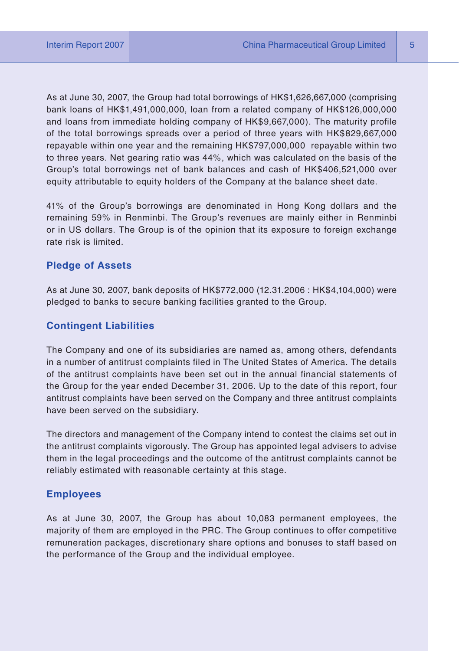As at June 30, 2007, the Group had total borrowings of HK\$1,626,667,000 (comprising bank loans of HK\$1,491,000,000, loan from a related company of HK\$126,000,000 and loans from immediate holding company of HK\$9,667,000). The maturity profile of the total borrowings spreads over a period of three years with HK\$829,667,000 repayable within one year and the remaining HK\$797,000,000 repayable within two to three years. Net gearing ratio was 44%, which was calculated on the basis of the Group's total borrowings net of bank balances and cash of HK\$406,521,000 over equity attributable to equity holders of the Company at the balance sheet date.

41% of the Group's borrowings are denominated in Hong Kong dollars and the remaining 59% in Renminbi. The Group's revenues are mainly either in Renminbi or in US dollars. The Group is of the opinion that its exposure to foreign exchange rate risk is limited.

#### **Pledge of Assets**

As at June 30, 2007, bank deposits of HK\$772,000 (12.31.2006 : HK\$4,104,000) were pledged to banks to secure banking facilities granted to the Group.

#### **Contingent Liabilities**

The Company and one of its subsidiaries are named as, among others, defendants in a number of antitrust complaints filed in The United States of America. The details of the antitrust complaints have been set out in the annual financial statements of the Group for the year ended December 31, 2006. Up to the date of this report, four antitrust complaints have been served on the Company and three antitrust complaints have been served on the subsidiary.

The directors and management of the Company intend to contest the claims set out in the antitrust complaints vigorously. The Group has appointed legal advisers to advise them in the legal proceedings and the outcome of the antitrust complaints cannot be reliably estimated with reasonable certainty at this stage.

#### **Employees**

As at June 30, 2007, the Group has about 10,083 permanent employees, the majority of them are employed in the PRC. The Group continues to offer competitive remuneration packages, discretionary share options and bonuses to staff based on the performance of the Group and the individual employee.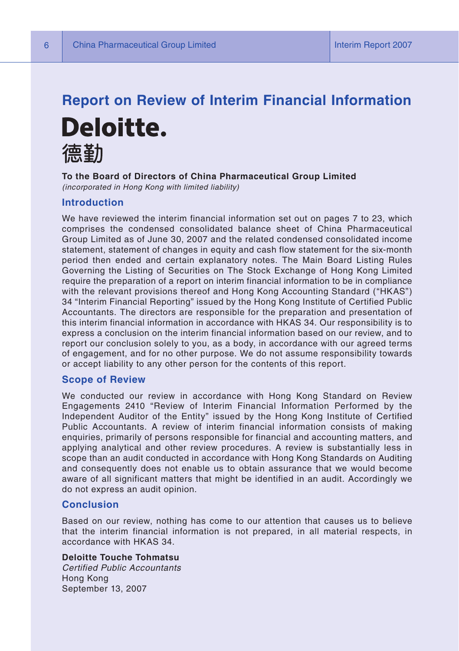# **Report on Review of Interim Financial Information** Deloitte. 德勒

**To the Board of Directors of China Pharmaceutical Group Limited** *(incorporated in Hong Kong with limited liability)*

#### **Introduction**

We have reviewed the interim financial information set out on pages 7 to 23, which comprises the condensed consolidated balance sheet of China Pharmaceutical Group Limited as of June 30, 2007 and the related condensed consolidated income statement, statement of changes in equity and cash flow statement for the six-month period then ended and certain explanatory notes. The Main Board Listing Rules Governing the Listing of Securities on The Stock Exchange of Hong Kong Limited require the preparation of a report on interim financial information to be in compliance with the relevant provisions thereof and Hong Kong Accounting Standard ("HKAS") 34 "Interim Financial Reporting" issued by the Hong Kong Institute of Certified Public Accountants. The directors are responsible for the preparation and presentation of this interim financial information in accordance with HKAS 34. Our responsibility is to express a conclusion on the interim financial information based on our review, and to report our conclusion solely to you, as a body, in accordance with our agreed terms of engagement, and for no other purpose. We do not assume responsibility towards or accept liability to any other person for the contents of this report.

#### **Scope of Review**

We conducted our review in accordance with Hong Kong Standard on Review Engagements 2410 "Review of Interim Financial Information Performed by the Independent Auditor of the Entity" issued by the Hong Kong Institute of Certified Public Accountants. A review of interim financial information consists of making enquiries, primarily of persons responsible for financial and accounting matters, and applying analytical and other review procedures. A review is substantially less in scope than an audit conducted in accordance with Hong Kong Standards on Auditing and consequently does not enable us to obtain assurance that we would become aware of all significant matters that might be identified in an audit. Accordingly we do not express an audit opinion.

#### **Conclusion**

Based on our review, nothing has come to our attention that causes us to believe that the interim financial information is not prepared, in all material respects, in accordance with HKAS 34.

**Deloitte Touche Tohmatsu**

*Certified Public Accountants* Hong Kong September 13, 2007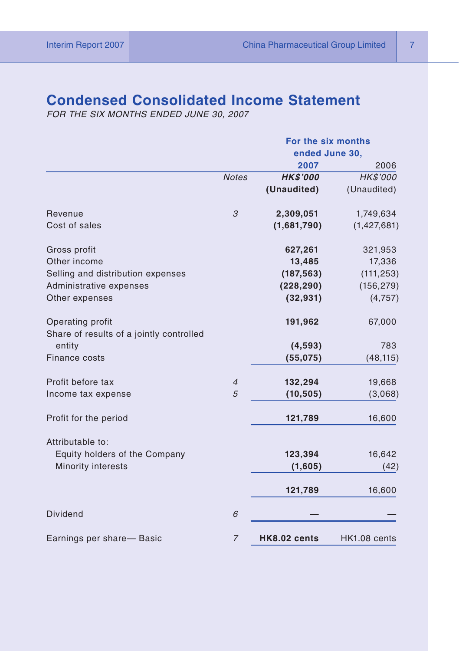# **Condensed Consolidated Income Statement**

*FOR THE SIX MONTHS ENDED JUNE 30, 2007*

|                                                              |                | For the six months |              |  |  |
|--------------------------------------------------------------|----------------|--------------------|--------------|--|--|
|                                                              |                | ended June 30,     |              |  |  |
|                                                              |                | 2007               | 2006         |  |  |
|                                                              | <b>Notes</b>   | <b>HK\$'000</b>    | HK\$'000     |  |  |
|                                                              |                | (Unaudited)        | (Unaudited)  |  |  |
| Revenue                                                      | 3              | 2,309,051          | 1,749,634    |  |  |
| Cost of sales                                                |                | (1,681,790)        | (1,427,681)  |  |  |
| Gross profit                                                 |                | 627,261            | 321,953      |  |  |
| Other income                                                 |                | 13,485             | 17,336       |  |  |
| Selling and distribution expenses                            |                | (187, 563)         | (111, 253)   |  |  |
| Administrative expenses                                      |                | (228, 290)         | (156, 279)   |  |  |
| Other expenses                                               |                | (32, 931)          | (4,757)      |  |  |
| Operating profit<br>Share of results of a jointly controlled |                | 191,962            | 67,000       |  |  |
| entity                                                       |                | (4, 593)           | 783          |  |  |
| Finance costs                                                |                | (55,075)           | (48, 115)    |  |  |
| Profit before tax                                            | $\overline{4}$ | 132,294            | 19,668       |  |  |
| Income tax expense                                           | 5              | (10, 505)          | (3,068)      |  |  |
| Profit for the period                                        |                | 121,789            | 16,600       |  |  |
| Attributable to:                                             |                |                    |              |  |  |
| Equity holders of the Company                                |                | 123,394            | 16,642       |  |  |
| <b>Minority interests</b>                                    |                | (1,605)            | (42)         |  |  |
|                                                              |                | 121,789            | 16,600       |  |  |
| <b>Dividend</b>                                              | 6              |                    |              |  |  |
| Earnings per share- Basic                                    | $\overline{7}$ | HK8.02 cents       | HK1.08 cents |  |  |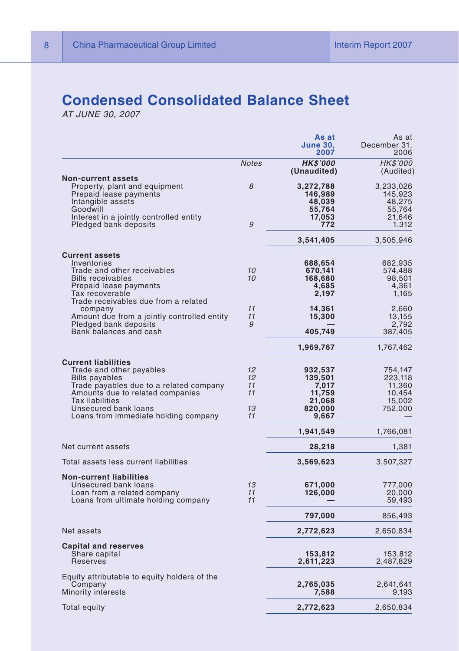# **Condensed Consolidated Balance Sheet**

*AT JUNE 30, 2007*

|                                                                                                                                                                                                                                                   |                                  | As at<br><b>June 30,</b><br>2007                                    | As at<br>December 31,<br>2006                               |
|---------------------------------------------------------------------------------------------------------------------------------------------------------------------------------------------------------------------------------------------------|----------------------------------|---------------------------------------------------------------------|-------------------------------------------------------------|
|                                                                                                                                                                                                                                                   | <b>Notes</b>                     | <b>HK\$'000</b><br>(Unaudited)                                      | HK\$'000<br>(Audited)                                       |
| <b>Non-current assets</b><br>Property, plant and equipment<br>Prepaid lease payments<br>Intangible assets<br>Goodwill<br>Interest in a jointly controlled entity<br>Pledged bank deposits                                                         | 8<br>9                           | 3,272,788<br>146,989<br>48,039<br>55,764<br>17,053<br>772           | 3,233,026<br>145,923<br>48.275<br>55,764<br>21,646<br>1.312 |
|                                                                                                                                                                                                                                                   |                                  | 3,541,405                                                           | 3,505,946                                                   |
| <b>Current assets</b><br>Inventories<br>Trade and other receivables<br><b>Bills receivables</b><br>Prepaid lease payments<br>Tax recoverable                                                                                                      | 10<br>10                         | 688,654<br>670,141<br>168,680<br>4,685<br>2,197                     | 682,935<br>574,488<br>98,501<br>4,361<br>1,165              |
| Trade receivables due from a related<br>company<br>Amount due from a jointly controlled entity<br>Pledged bank deposits<br>Bank balances and cash                                                                                                 | 11<br>11<br>9                    | 14,361<br>15,300<br>405,749                                         | 2,660<br>13,155<br>2,792<br>387,405                         |
|                                                                                                                                                                                                                                                   |                                  | 1,969,767                                                           | 1,767,462                                                   |
| <b>Current liabilities</b><br>Trade and other payables<br><b>Bills payables</b><br>Trade payables due to a related company<br>Amounts due to related companies<br>Tax liabilities<br>Unsecured bank loans<br>Loans from immediate holding company | 12<br>12<br>11<br>11<br>13<br>11 | 932,537<br>139,501<br>7,017<br>11,759<br>21,068<br>820,000<br>9,667 | 754,147<br>223,118<br>11,360<br>10,454<br>15,002<br>752,000 |
|                                                                                                                                                                                                                                                   |                                  | 1,941,549                                                           | 1,766,081                                                   |
| Net current assets                                                                                                                                                                                                                                |                                  | 28,218                                                              | 1,381                                                       |
| Total assets less current liabilities                                                                                                                                                                                                             |                                  | 3,569,623                                                           | 3,507,327                                                   |
| <b>Non-current liabilities</b><br>Unsecured bank loans<br>Loan from a related company<br>Loans from ultimate holding company                                                                                                                      | 13<br>11<br>11                   | 671,000<br>126,000                                                  | 777,000<br>20,000<br>59,493                                 |
|                                                                                                                                                                                                                                                   |                                  | 797,000                                                             | 856,493                                                     |
| Net assets                                                                                                                                                                                                                                        |                                  | 2,772,623                                                           | 2,650,834                                                   |
| <b>Capital and reserves</b><br>Share capital<br><b>Reserves</b>                                                                                                                                                                                   |                                  | 153,812<br>2,611,223                                                | 153,812<br>2,487,829                                        |
| Equity attributable to equity holders of the<br>Company<br><b>Minority interests</b>                                                                                                                                                              |                                  | 2,765,035<br>7,588                                                  | 2,641,641<br>9,193                                          |
| Total equity                                                                                                                                                                                                                                      |                                  | 2,772,623                                                           | 2,650,834                                                   |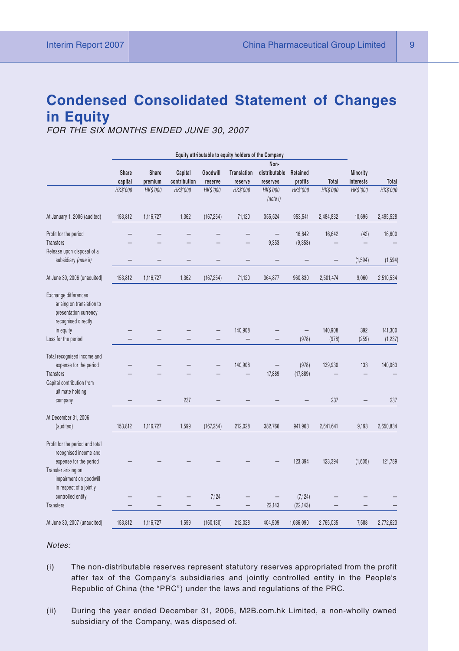# **Condensed Consolidated Statement of Changes in Equity**

*FOR THE SIX MONTHS ENDED JUNE 30, 2007*

|                                                                                                   |                 |                 |              |            | Equity attributable to equity holders of the Company |               |           |                 |           |                 |
|---------------------------------------------------------------------------------------------------|-----------------|-----------------|--------------|------------|------------------------------------------------------|---------------|-----------|-----------------|-----------|-----------------|
|                                                                                                   |                 |                 |              |            |                                                      | Non-          |           |                 |           |                 |
|                                                                                                   | Share           | Share           | Capital      | Goodwill   | <b>Translation</b>                                   | distributable | Retained  |                 | Minority  |                 |
|                                                                                                   | capital         | premium         | contribution | reserve    | reserve                                              | reserves      | profits   | Total           | interests | Total           |
|                                                                                                   | <b>HK\$'000</b> | <b>HK\$'000</b> | HK\$'000     | HK\$'000   | HK\$'000                                             | HK\$'000      | HK\$'000  | <b>HK\$'000</b> | HK\$'000  | <b>HK\$'000</b> |
|                                                                                                   |                 |                 |              |            |                                                      | (note i)      |           |                 |           |                 |
| At January 1, 2006 (audited)                                                                      | 153,812         | 1,116,727       | 1,362        | (167, 254) | 71,120                                               | 355,524       | 953,541   | 2,484,832       | 10,696    | 2,495,528       |
| Profit for the period                                                                             |                 |                 |              |            |                                                      |               | 16,642    | 16,642          | (42)      | 16,600          |
| <b>Transfers</b>                                                                                  |                 |                 |              |            |                                                      | 9,353         | (9, 353)  |                 |           |                 |
| Release upon disposal of a                                                                        |                 |                 |              |            |                                                      |               |           |                 |           |                 |
| subsidiary (note ii)                                                                              |                 |                 |              |            |                                                      |               |           |                 | (1, 594)  | (1, 594)        |
| At June 30, 2006 (unaduited)                                                                      | 153,812         | 1,116,727       | 1,362        | (167, 254) | 71,120                                               | 364,877       | 960,830   | 2,501,474       | 9,060     | 2,510,534       |
| Exchange differences<br>arising on translation to<br>presentation currency<br>recognised directly |                 |                 |              |            |                                                      |               |           |                 |           |                 |
| in equity                                                                                         |                 |                 |              |            | 140,908                                              |               |           | 140,908         | 392       | 141,300         |
| Loss for the period                                                                               |                 |                 |              |            |                                                      |               | (978)     | (978)           | (259)     | (1, 237)        |
|                                                                                                   |                 |                 |              |            |                                                      |               |           |                 |           |                 |
| Total recognised income and                                                                       |                 |                 |              |            |                                                      |               |           |                 |           |                 |
| expense for the period                                                                            |                 |                 |              |            | 140,908                                              |               | (978)     | 139,930         | 133       | 140,063         |
| Transfers                                                                                         |                 |                 |              |            |                                                      | 17,889        | (17, 889) |                 |           |                 |
| Capital contribution from<br>ultimate holding                                                     |                 |                 |              |            |                                                      |               |           |                 |           |                 |
| company                                                                                           |                 |                 | 237          |            |                                                      |               |           | 237             |           | 237             |
| At December 31, 2006                                                                              |                 |                 |              |            |                                                      |               |           |                 |           |                 |
| (audited)                                                                                         | 153,812         | 1,116,727       | 1,599        | (167, 254) | 212,028                                              | 382,766       | 941,963   | 2,641,641       | 9,193     | 2,650,834       |
| Profit for the period and total<br>recognised income and<br>expense for the period                |                 |                 |              |            |                                                      |               | 123,394   | 123,394         | (1,605)   | 121,789         |
| Transfer arising on<br>impairment on goodwill<br>in respect of a jointly                          |                 |                 |              |            |                                                      |               |           |                 |           |                 |
| controlled entity                                                                                 |                 |                 |              | 7,124      |                                                      |               | (7, 124)  |                 |           |                 |
| <b>Transfers</b>                                                                                  |                 |                 |              |            |                                                      | 22,143        | (22, 143) |                 |           |                 |
| At June 30, 2007 (unaudited)                                                                      | 153,812         | 1,116,727       | 1,599        | (160, 130) | 212,028                                              | 404,909       | 1,036,090 | 2,765,035       | 7,588     | 2,772,623       |

*Notes:*

- (i) The non-distributable reserves represent statutory reserves appropriated from the profit after tax of the Company's subsidiaries and jointly controlled entity in the People's Republic of China (the "PRC") under the laws and regulations of the PRC.
- (ii) During the year ended December 31, 2006, M2B.com.hk Limited, a non-wholly owned subsidiary of the Company, was disposed of.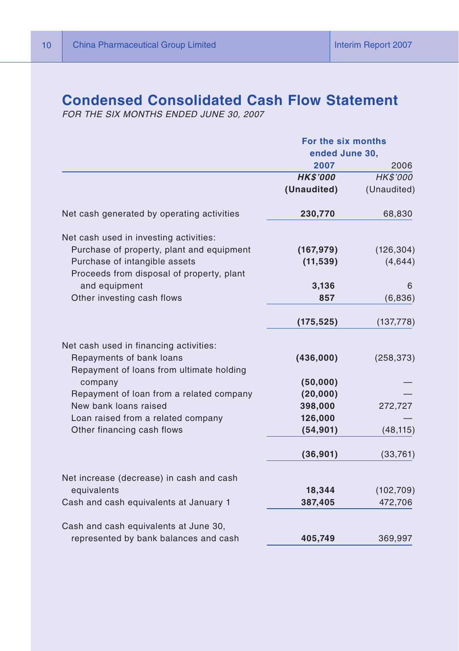# **Condensed Consolidated Cash Flow Statement**

*FOR THE SIX MONTHS ENDED JUNE 30, 2007*

|                                                                                                                | For the six months |             |  |
|----------------------------------------------------------------------------------------------------------------|--------------------|-------------|--|
|                                                                                                                | ended June 30,     |             |  |
|                                                                                                                | 2007               | 2006        |  |
|                                                                                                                | <b>HK\$'000</b>    | HK\$'000    |  |
|                                                                                                                | (Unaudited)        | (Unaudited) |  |
| Net cash generated by operating activities                                                                     | 230,770            | 68,830      |  |
| Net cash used in investing activities:                                                                         |                    |             |  |
| Purchase of property, plant and equipment                                                                      | (167, 979)         | (126, 304)  |  |
| Purchase of intangible assets                                                                                  | (11, 539)          | (4,644)     |  |
| Proceeds from disposal of property, plant                                                                      |                    |             |  |
| and equipment                                                                                                  | 3,136              | 6           |  |
| Other investing cash flows                                                                                     | 857                | (6,836)     |  |
|                                                                                                                | (175, 525)         | (137, 778)  |  |
| Net cash used in financing activities:<br>Repayments of bank loans<br>Repayment of loans from ultimate holding | (436,000)          | (258, 373)  |  |
| company                                                                                                        | (50,000)           |             |  |
| Repayment of loan from a related company                                                                       | (20,000)           |             |  |
| New bank loans raised                                                                                          | 398,000            | 272,727     |  |
| Loan raised from a related company                                                                             | 126,000            |             |  |
| Other financing cash flows                                                                                     | (54, 901)          | (48, 115)   |  |
|                                                                                                                | (36, 901)          | (33,761)    |  |
| Net increase (decrease) in cash and cash                                                                       |                    |             |  |
| equivalents                                                                                                    | 18,344             | (102, 709)  |  |
| Cash and cash equivalents at January 1                                                                         | 387,405            | 472,706     |  |
| Cash and cash equivalents at June 30,                                                                          |                    |             |  |
| represented by bank balances and cash                                                                          | 405,749            | 369,997     |  |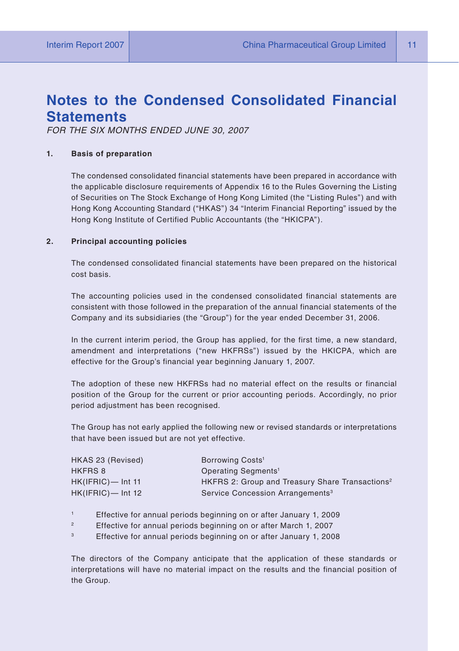# **Notes to the Condensed Consolidated Financial Statements**

*FOR THE SIX MONTHS ENDED JUNE 30, 2007*

#### **1. Basis of preparation**

The condensed consolidated financial statements have been prepared in accordance with the applicable disclosure requirements of Appendix 16 to the Rules Governing the Listing of Securities on The Stock Exchange of Hong Kong Limited (the "Listing Rules") and with Hong Kong Accounting Standard ("HKAS") 34 "Interim Financial Reporting" issued by the Hong Kong Institute of Certified Public Accountants (the "HKICPA").

#### **2. Principal accounting policies**

The condensed consolidated financial statements have been prepared on the historical cost basis.

The accounting policies used in the condensed consolidated financial statements are consistent with those followed in the preparation of the annual financial statements of the Company and its subsidiaries (the "Group") for the year ended December 31, 2006.

In the current interim period, the Group has applied, for the first time, a new standard, amendment and interpretations ("new HKFRSs") issued by the HKICPA, which are effective for the Group's financial year beginning January 1, 2007.

The adoption of these new HKFRSs had no material effect on the results or financial position of the Group for the current or prior accounting periods. Accordingly, no prior period adjustment has been recognised.

The Group has not early applied the following new or revised standards or interpretations that have been issued but are not yet effective.

| HKAS 23 (Revised)    | Borrowing Costs <sup>1</sup>                                |
|----------------------|-------------------------------------------------------------|
| HKFRS 8              | Operating Segments <sup>1</sup>                             |
| $HK(IFRIC)$ — Int 11 | HKFRS 2: Group and Treasury Share Transactions <sup>2</sup> |
| $HK(IFRIC)$ — Int 12 | Service Concession Arrangements <sup>3</sup>                |

- 1 Effective for annual periods beginning on or after January 1, 2009
- <sup>2</sup> Effective for annual periods beginning on or after March 1, 2007
- <sup>3</sup> Effective for annual periods beginning on or after January 1, 2008

The directors of the Company anticipate that the application of these standards or interpretations will have no material impact on the results and the financial position of the Group.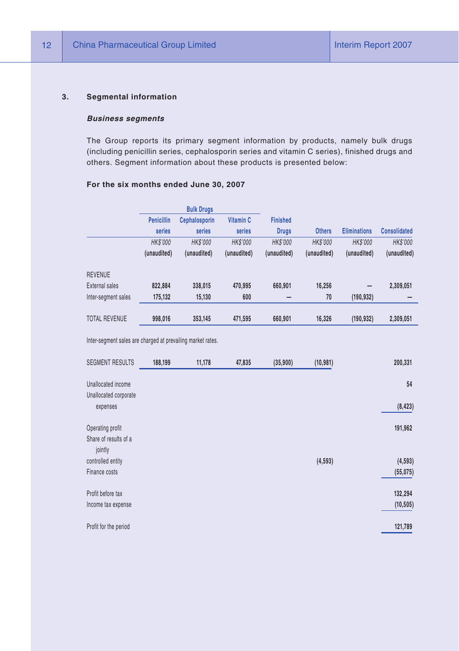#### **3. Segmental information**

#### *Business segments*

The Group reports its primary segment information by products, namely bulk drugs (including penicillin series, cephalosporin series and vitamin C series), finished drugs and others. Segment information about these products is presented below:

#### **For the six months ended June 30, 2007**

|                      |                   | <b>Bulk Drugs</b>    |                |                 |                 |                     |                     |
|----------------------|-------------------|----------------------|----------------|-----------------|-----------------|---------------------|---------------------|
|                      | <b>Penicillin</b> | <b>Cephalosporin</b> | Vitamin C      | <b>Finished</b> |                 |                     |                     |
|                      | series            | series               | series         | <b>Drugs</b>    | <b>Others</b>   | <b>Eliminations</b> | <b>Consolidated</b> |
|                      | <b>HK\$'000</b>   | <b>HK\$'000</b>      | <b>HKS'000</b> | <b>HK\$'000</b> | <b>HK\$'000</b> | <b>HK\$'000</b>     | <b>HK\$'000</b>     |
|                      | (unaudited)       | (unaudited)          | (unaudited)    | (unaudited)     | (unaudited)     | (unaudited)         | (unaudited)         |
| <b>REVENUE</b>       |                   |                      |                |                 |                 |                     |                     |
| External sales       | 822.884           | 338.015              | 470.995        | 660,901         | 16,256          |                     | 2,309,051           |
| Inter-segment sales  | 175.132           | 15,130               | 600            |                 | 70              | (190, 932)          |                     |
| <b>TOTAL REVENUE</b> | 998.016           | 353.145              | 471.595        | 660,901         | 16,326          | (190, 932)          | 2.309.051           |

Inter-segment sales are charged at prevailing market rates.

| SEGMENT RESULTS       | 188,199 | 11,178 | 47,835 | (35,900) | (10, 981) | 200,331   |
|-----------------------|---------|--------|--------|----------|-----------|-----------|
| Unallocated income    |         |        |        |          |           | 54        |
| Unallocated corporate |         |        |        |          |           |           |
| expenses              |         |        |        |          |           | (8, 423)  |
| Operating profit      |         |        |        |          |           | 191,962   |
| Share of results of a |         |        |        |          |           |           |
| jointly               |         |        |        |          |           |           |
| controlled entity     |         |        |        |          | (4, 593)  | (4, 593)  |
| Finance costs         |         |        |        |          |           | (55,075)  |
| Profit before tax     |         |        |        |          |           | 132,294   |
| Income tax expense    |         |        |        |          |           | (10, 505) |
| Profit for the period |         |        |        |          |           | 121,789   |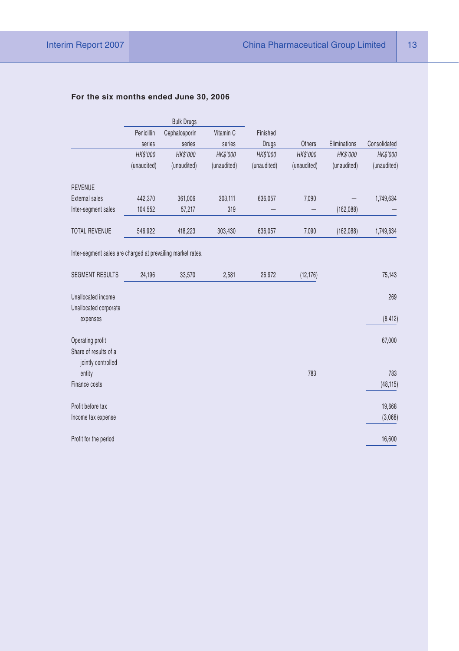#### **For the six months ended June 30, 2006**

|                                                             |                 | <b>Bulk Drugs</b> |             |                 |                 |              |                 |
|-------------------------------------------------------------|-----------------|-------------------|-------------|-----------------|-----------------|--------------|-----------------|
|                                                             | Penicillin      | Cephalosporin     | Vitamin C   | Finished        |                 |              |                 |
|                                                             | series          | series            | series      | Drugs           | Others          | Eliminations | Consolidated    |
|                                                             | <b>HK\$'000</b> | HK\$'000          | HK\$'000    | <b>HK\$'000</b> | <b>HK\$'000</b> | HK\$'000     | <b>HK\$'000</b> |
|                                                             | (unaudited)     | (unaudited)       | (unaudited) | (unaudited)     | (unaudited)     | (unaudited)  | (unaudited)     |
| <b>REVENUE</b>                                              |                 |                   |             |                 |                 |              |                 |
| External sales                                              | 442,370         | 361,006           | 303,111     | 636,057         | 7,090           |              | 1,749,634       |
| Inter-segment sales                                         | 104,552         | 57,217            | 319         |                 |                 | (162, 088)   |                 |
| <b>TOTAL REVENUE</b>                                        | 546,922         | 418,223           | 303,430     | 636,057         | 7,090           | (162,088)    | 1,749,634       |
| Inter-segment sales are charged at prevailing market rates. |                 |                   |             |                 |                 |              |                 |
| <b>SEGMENT RESULTS</b>                                      | 24,196          | 33,570            | 2,581       | 26,972          | (12, 176)       |              | 75,143          |
| Unallocated income                                          |                 |                   |             |                 |                 |              | 269             |
| Unallocated corporate                                       |                 |                   |             |                 |                 |              |                 |
| expenses                                                    |                 |                   |             |                 |                 |              | (8, 412)        |
| Operating profit                                            |                 |                   |             |                 |                 |              | 67,000          |
| Share of results of a                                       |                 |                   |             |                 |                 |              |                 |
| jointly controlled                                          |                 |                   |             |                 |                 |              |                 |
| entity                                                      |                 |                   |             |                 | 783             |              | 783             |
| Finance costs                                               |                 |                   |             |                 |                 |              | (48, 115)       |
| Profit before tax                                           |                 |                   |             |                 |                 |              | 19,668          |
| Income tax expense                                          |                 |                   |             |                 |                 |              | (3,068)         |
| Profit for the period                                       |                 |                   |             |                 |                 |              | 16,600          |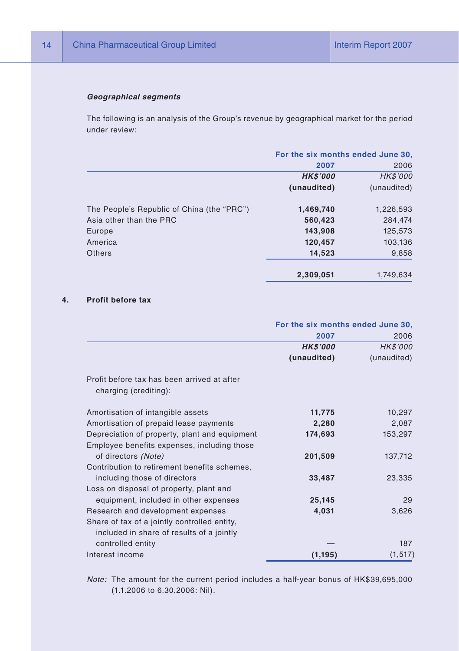#### *Geographical segments*

The following is an analysis of the Group's revenue by geographical market for the period under review:

|                                            | For the six months ended June 30, |             |  |
|--------------------------------------------|-----------------------------------|-------------|--|
|                                            | 2007                              | 2006        |  |
|                                            | <b>HK\$'000</b>                   | HK\$'000    |  |
|                                            | (unaudited)                       | (unaudited) |  |
| The People's Republic of China (the "PRC") | 1,469,740                         | 1,226,593   |  |
| Asia other than the PRC                    | 560,423                           | 284,474     |  |
| Europe                                     | 143,908                           | 125,573     |  |
| America                                    | 120,457                           | 103,136     |  |
| Others                                     | 14,523                            | 9,858       |  |
|                                            | 2.309.051                         | 1.749.634   |  |

#### **4. Profit before tax**

|                                                                      | For the six months ended June 30, |             |  |
|----------------------------------------------------------------------|-----------------------------------|-------------|--|
|                                                                      | 2007                              | 2006        |  |
|                                                                      | <b>HK\$'000</b>                   | HK\$'000    |  |
|                                                                      | (unaudited)                       | (unaudited) |  |
| Profit before tax has been arrived at after<br>charging (crediting): |                                   |             |  |
| Amortisation of intangible assets                                    | 11,775                            | 10,297      |  |
| Amortisation of prepaid lease payments                               | 2,280                             | 2,087       |  |
| Depreciation of property, plant and equipment                        | 174,693                           | 153,297     |  |
| Employee benefits expenses, including those                          |                                   |             |  |
| of directors (Note)                                                  | 201,509                           | 137,712     |  |
| Contribution to retirement benefits schemes,                         |                                   |             |  |
| including those of directors                                         | 33,487                            | 23,335      |  |
| Loss on disposal of property, plant and                              |                                   |             |  |
| equipment, included in other expenses                                | 25,145                            | 29          |  |
| Research and development expenses                                    | 4,031                             | 3,626       |  |
| Share of tax of a jointly controlled entity,                         |                                   |             |  |
| included in share of results of a jointly                            |                                   |             |  |
| controlled entity                                                    |                                   | 187         |  |
| Interest income                                                      | (1, 195)                          | (1, 517)    |  |

*Note:* The amount for the current period includes a half-year bonus of HK\$39,695,000 (1.1.2006 to 6.30.2006: Nil).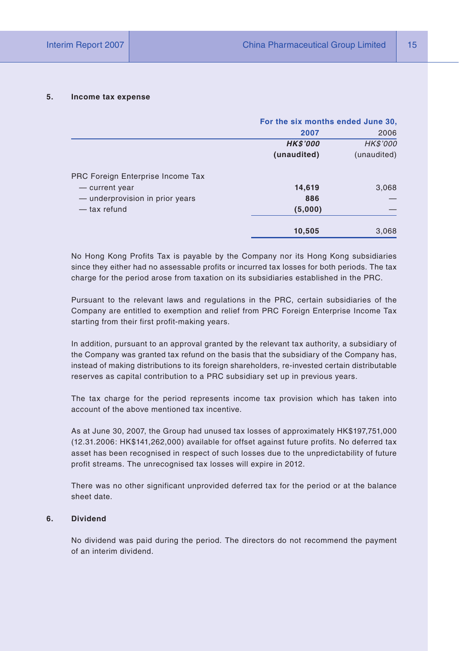#### **5. Income tax expense**

|                                   | For the six months ended June 30, |             |  |
|-----------------------------------|-----------------------------------|-------------|--|
|                                   | 2007<br>2006                      |             |  |
|                                   | <b>HK\$'000</b>                   | HK\$'000    |  |
|                                   | (unaudited)                       | (unaudited) |  |
| PRC Foreign Enterprise Income Tax |                                   |             |  |
| - current year                    | 14,619                            | 3,068       |  |
| - underprovision in prior years   | 886                               |             |  |
| $-$ tax refund                    | (5,000)                           |             |  |
|                                   | 10,505                            | 3,068       |  |

No Hong Kong Profits Tax is payable by the Company nor its Hong Kong subsidiaries since they either had no assessable profits or incurred tax losses for both periods. The tax charge for the period arose from taxation on its subsidiaries established in the PRC.

Pursuant to the relevant laws and regulations in the PRC, certain subsidiaries of the Company are entitled to exemption and relief from PRC Foreign Enterprise Income Tax starting from their first profit-making years.

In addition, pursuant to an approval granted by the relevant tax authority, a subsidiary of the Company was granted tax refund on the basis that the subsidiary of the Company has, instead of making distributions to its foreign shareholders, re-invested certain distributable reserves as capital contribution to a PRC subsidiary set up in previous years.

The tax charge for the period represents income tax provision which has taken into account of the above mentioned tax incentive.

As at June 30, 2007, the Group had unused tax losses of approximately HK\$197,751,000 (12.31.2006: HK\$141,262,000) available for offset against future profits. No deferred tax asset has been recognised in respect of such losses due to the unpredictability of future profit streams. The unrecognised tax losses will expire in 2012.

There was no other significant unprovided deferred tax for the period or at the balance sheet date.

#### **6. Dividend**

No dividend was paid during the period. The directors do not recommend the payment of an interim dividend.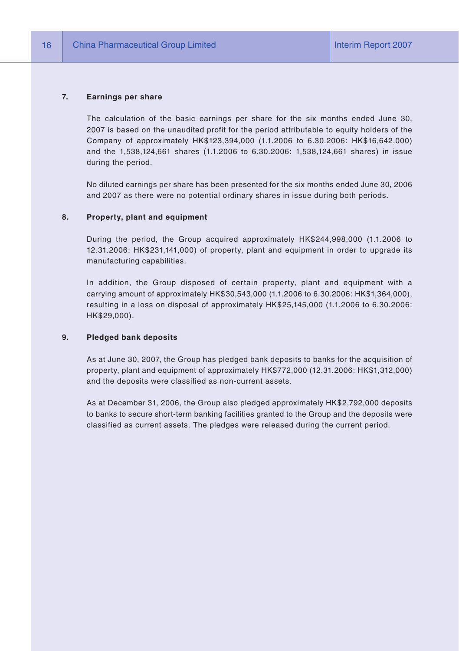#### **7. Earnings per share**

The calculation of the basic earnings per share for the six months ended June 30, 2007 is based on the unaudited profit for the period attributable to equity holders of the Company of approximately HK\$123,394,000 (1.1.2006 to 6.30.2006: HK\$16,642,000) and the 1,538,124,661 shares (1.1.2006 to 6.30.2006: 1,538,124,661 shares) in issue during the period.

No diluted earnings per share has been presented for the six months ended June 30, 2006 and 2007 as there were no potential ordinary shares in issue during both periods.

#### **8. Property, plant and equipment**

During the period, the Group acquired approximately HK\$244,998,000 (1.1.2006 to 12.31.2006: HK\$231,141,000) of property, plant and equipment in order to upgrade its manufacturing capabilities.

In addition, the Group disposed of certain property, plant and equipment with a carrying amount of approximately HK\$30,543,000 (1.1.2006 to 6.30.2006: HK\$1,364,000), resulting in a loss on disposal of approximately HK\$25,145,000 (1.1.2006 to 6.30.2006: HK\$29,000).

#### **9. Pledged bank deposits**

As at June 30, 2007, the Group has pledged bank deposits to banks for the acquisition of property, plant and equipment of approximately HK\$772,000 (12.31.2006: HK\$1,312,000) and the deposits were classified as non-current assets.

As at December 31, 2006, the Group also pledged approximately HK\$2,792,000 deposits to banks to secure short-term banking facilities granted to the Group and the deposits were classified as current assets. The pledges were released during the current period.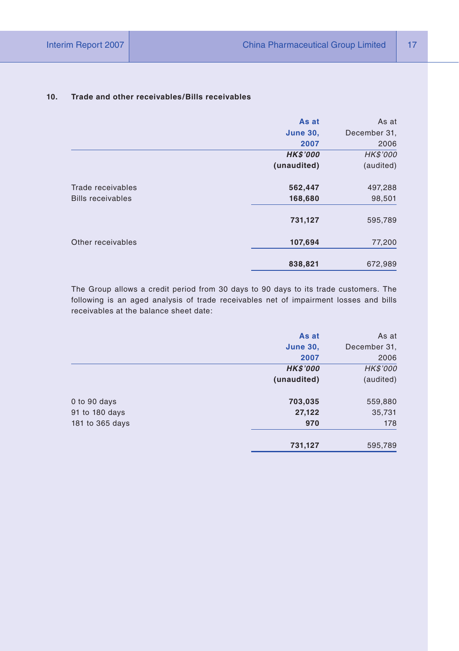# **As at** As at **June 30,** December 31, **2007** 2006 *HK\$'000 HK\$'000* **(unaudited)** (audited) Trade receivables **562,447** 497,288 Bills receivables **168,680** 98,501 **731,127** 595,789 Other receivables **107,694** 77,200 **838,821** 672,989

#### **10. Trade and other receivables/Bills receivables**

The Group allows a credit period from 30 days to 90 days to its trade customers. The following is an aged analysis of trade receivables net of impairment losses and bills receivables at the balance sheet date:

|                 | As at           | As at        |
|-----------------|-----------------|--------------|
|                 | <b>June 30,</b> | December 31, |
|                 | 2007            | 2006         |
|                 | <b>HK\$'000</b> | HK\$'000     |
|                 | (unaudited)     | (audited)    |
| 0 to 90 days    | 703,035         | 559,880      |
| 91 to 180 days  | 27,122          | 35,731       |
| 181 to 365 days | 970             | 178          |
|                 | 731,127         | 595,789      |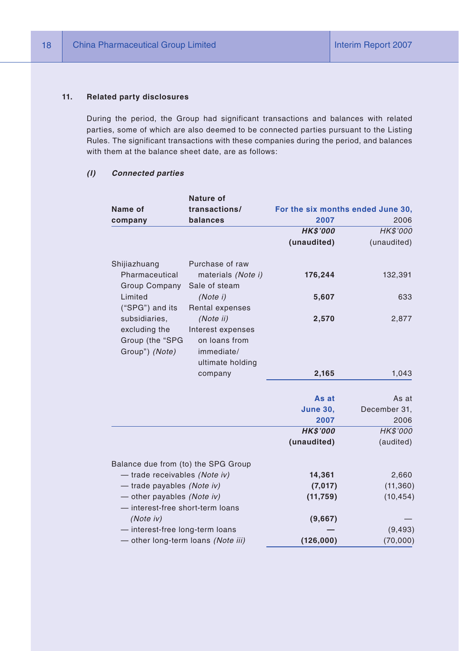#### **11. Related party disclosures**

During the period, the Group had significant transactions and balances with related parties, some of which are also deemed to be connected parties pursuant to the Listing Rules. The significant transactions with these companies during the period, and balances with them at the balance sheet date, are as follows:

#### *(I) Connected parties*

|                                                                     | Nature of                                                                         |                                   |              |
|---------------------------------------------------------------------|-----------------------------------------------------------------------------------|-----------------------------------|--------------|
| Name of                                                             | transactions/                                                                     | For the six months ended June 30, |              |
| company                                                             | balances                                                                          | 2007                              | 2006         |
|                                                                     |                                                                                   | <b>HK\$'000</b>                   | HK\$'000     |
|                                                                     |                                                                                   | (unaudited)                       | (unaudited)  |
| Shijiazhuang                                                        | Purchase of raw                                                                   |                                   |              |
| Pharmaceutical<br>Group Company                                     | materials (Note i)<br>Sale of steam                                               | 176,244                           | 132,391      |
| Limited<br>("SPG") and its                                          | (Note i)<br>Rental expenses                                                       | 5,607                             | 633          |
| subsidiaries,<br>excluding the<br>Group (the "SPG<br>Group") (Note) | (Note ii)<br>Interest expenses<br>on loans from<br>immediate/<br>ultimate holding | 2,570                             | 2,877        |
|                                                                     | company                                                                           | 2,165                             | 1,043        |
|                                                                     |                                                                                   | As at                             | As at        |
|                                                                     |                                                                                   | <b>June 30,</b>                   | December 31, |
|                                                                     |                                                                                   | 2007                              | 2006         |
|                                                                     |                                                                                   | <b>HK\$'000</b>                   | HK\$'000     |
|                                                                     |                                                                                   | (unaudited)                       | (audited)    |
| Balance due from (to) the SPG Group                                 |                                                                                   |                                   |              |
| - trade receivables (Note iv)                                       |                                                                                   | 14,361                            | 2,660        |
| - trade payables (Note iv)                                          |                                                                                   | (7,017)                           | (11, 360)    |
| - other payables (Note iv)                                          |                                                                                   | (11, 759)                         | (10, 454)    |
| - interest-free short-term loans<br>(Note iv)                       |                                                                                   | (9,667)                           |              |
| - interest-free long-term loans                                     |                                                                                   |                                   | (9, 493)     |
| - other long-term loans (Note iii)                                  |                                                                                   | (126,000)                         | (70,000)     |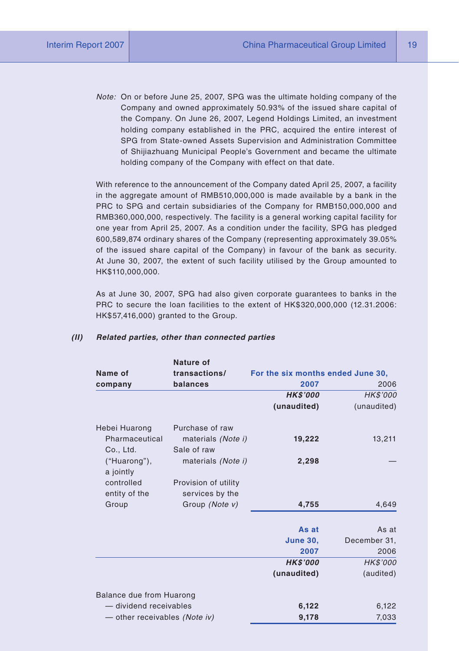*Note:* On or before June 25, 2007, SPG was the ultimate holding company of the Company and owned approximately 50.93% of the issued share capital of the Company. On June 26, 2007, Legend Holdings Limited, an investment holding company established in the PRC, acquired the entire interest of SPG from State-owned Assets Supervision and Administration Committee of Shijiazhuang Municipal People's Government and became the ultimate holding company of the Company with effect on that date.

With reference to the announcement of the Company dated April 25, 2007, a facility in the aggregate amount of RMB510,000,000 is made available by a bank in the PRC to SPG and certain subsidiaries of the Company for RMB150,000,000 and RMB360,000,000, respectively. The facility is a general working capital facility for one year from April 25, 2007. As a condition under the facility, SPG has pledged 600,589,874 ordinary shares of the Company (representing approximately 39.05% of the issued share capital of the Company) in favour of the bank as security. At June 30, 2007, the extent of such facility utilised by the Group amounted to HK\$110,000,000.

As at June 30, 2007, SPG had also given corporate guarantees to banks in the PRC to secure the loan facilities to the extent of HK\$320,000,000 (12.31.2006: HK\$57,416,000) granted to the Group.

|                               | Nature of                         |                                   |              |
|-------------------------------|-----------------------------------|-----------------------------------|--------------|
| Name of                       | transactions/                     | For the six months ended June 30, |              |
| company                       | balances                          | 2007                              | 2006         |
|                               |                                   | <b>HK\$'000</b>                   | HK\$'000     |
|                               |                                   | (unaudited)                       | (unaudited)  |
| Hebei Huarong                 | Purchase of raw                   |                                   |              |
| Pharmaceutical<br>Co., Ltd.   | materials (Note i)<br>Sale of raw | 19,222                            | 13,211       |
| ("Huarong"),<br>a jointly     | materials (Note i)                | 2,298                             |              |
| controlled                    | Provision of utility              |                                   |              |
| entity of the                 | services by the                   |                                   |              |
| Group                         | Group (Note v)                    | 4,755                             | 4,649        |
|                               |                                   | As at                             | As at        |
|                               |                                   | <b>June 30,</b>                   | December 31, |
|                               |                                   | 2007                              | 2006         |
|                               |                                   | <b>HK\$'000</b>                   | HK\$'000     |
|                               |                                   | (unaudited)                       | (audited)    |
| Balance due from Huarong      |                                   |                                   |              |
| - dividend receivables        |                                   | 6,122                             | 6,122        |
| - other receivables (Note iv) |                                   | 9,178                             | 7,033        |

#### *(II) Related parties, other than connected parties*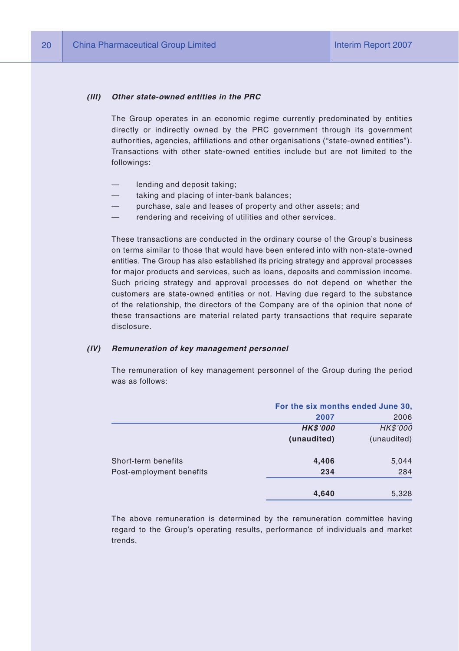#### *(III) Other state-owned entities in the PRC*

The Group operates in an economic regime currently predominated by entities directly or indirectly owned by the PRC government through its government authorities, agencies, affiliations and other organisations ("state-owned entities"). Transactions with other state-owned entities include but are not limited to the followings:

- lending and deposit taking;
- taking and placing of inter-bank balances;
- purchase, sale and leases of property and other assets; and
- rendering and receiving of utilities and other services.

These transactions are conducted in the ordinary course of the Group's business on terms similar to those that would have been entered into with non-state-owned entities. The Group has also established its pricing strategy and approval processes for major products and services, such as loans, deposits and commission income. Such pricing strategy and approval processes do not depend on whether the customers are state-owned entities or not. Having due regard to the substance of the relationship, the directors of the Company are of the opinion that none of these transactions are material related party transactions that require separate disclosure.

#### *(IV) Remuneration of key management personnel*

The remuneration of key management personnel of the Group during the period was as follows:

|                          |                | For the six months ended June 30, |  |
|--------------------------|----------------|-----------------------------------|--|
|                          | 2007           | 2006                              |  |
|                          | <b>HKS'000</b> | HK\$'000                          |  |
|                          | (unaudited)    | (unaudited)                       |  |
| Short-term benefits      | 4,406          | 5,044                             |  |
| Post-employment benefits | 234            | 284                               |  |
|                          | 4,640          | 5,328                             |  |

The above remuneration is determined by the remuneration committee having regard to the Group's operating results, performance of individuals and market trends.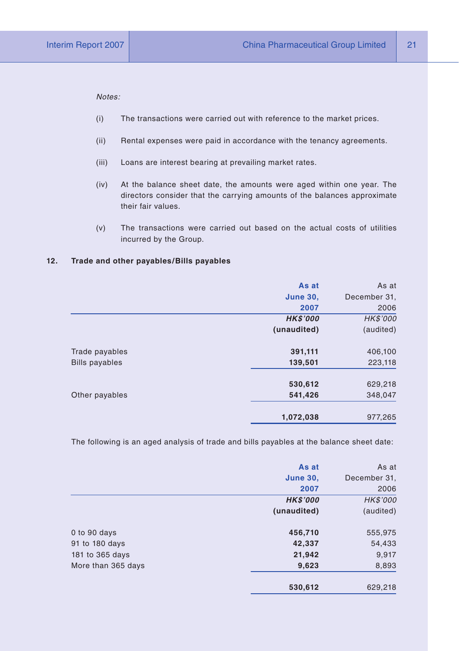*Notes:*

- (i) The transactions were carried out with reference to the market prices.
- (ii) Rental expenses were paid in accordance with the tenancy agreements.
- (iii) Loans are interest bearing at prevailing market rates.
- (iv) At the balance sheet date, the amounts were aged within one year. The directors consider that the carrying amounts of the balances approximate their fair values.
- (v) The transactions were carried out based on the actual costs of utilities incurred by the Group.

#### **12. Trade and other payables/Bills payables**

|                       | As at           | As at        |
|-----------------------|-----------------|--------------|
|                       | <b>June 30,</b> | December 31, |
|                       | 2007            | 2006         |
|                       | <b>HK\$'000</b> | HK\$'000     |
|                       | (unaudited)     | (audited)    |
| Trade payables        | 391,111         | 406,100      |
| <b>Bills payables</b> | 139,501         | 223,118      |
|                       | 530,612         | 629,218      |
| Other payables        | 541,426         | 348,047      |
|                       | 1,072,038       | 977,265      |

The following is an aged analysis of trade and bills payables at the balance sheet date:

|                    | As at           | As at        |
|--------------------|-----------------|--------------|
|                    | <b>June 30,</b> | December 31, |
|                    | 2007            | 2006         |
|                    | <b>HK\$'000</b> | HK\$'000     |
|                    | (unaudited)     | (audited)    |
| 0 to 90 days       | 456,710         | 555,975      |
| 91 to 180 days     | 42,337          | 54,433       |
| 181 to 365 days    | 21,942          | 9,917        |
| More than 365 days | 9,623           | 8,893        |
|                    | 530,612         | 629.218      |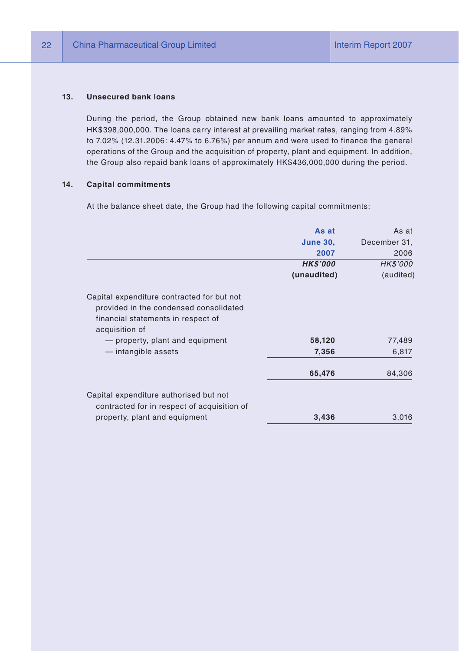#### **13. Unsecured bank loans**

During the period, the Group obtained new bank loans amounted to approximately HK\$398,000,000. The loans carry interest at prevailing market rates, ranging from 4.89% to 7.02% (12.31.2006: 4.47% to 6.76%) per annum and were used to finance the general operations of the Group and the acquisition of property, plant and equipment. In addition, the Group also repaid bank loans of approximately HK\$436,000,000 during the period.

#### **14. Capital commitments**

At the balance sheet date, the Group had the following capital commitments:

|                                                                                                                                              | As at           | As at        |
|----------------------------------------------------------------------------------------------------------------------------------------------|-----------------|--------------|
|                                                                                                                                              | <b>June 30,</b> | December 31, |
|                                                                                                                                              | 2007            | 2006         |
|                                                                                                                                              | <b>HK\$'000</b> | HK\$'000     |
|                                                                                                                                              | (unaudited)     | (audited)    |
| Capital expenditure contracted for but not<br>provided in the condensed consolidated<br>financial statements in respect of<br>acquisition of |                 |              |
| - property, plant and equipment                                                                                                              | 58,120          | 77,489       |
| - intangible assets                                                                                                                          | 7,356           | 6,817        |
|                                                                                                                                              | 65,476          | 84,306       |
| Capital expenditure authorised but not<br>contracted for in respect of acquisition of                                                        |                 |              |
| property, plant and equipment                                                                                                                | 3,436           | 3,016        |
|                                                                                                                                              |                 |              |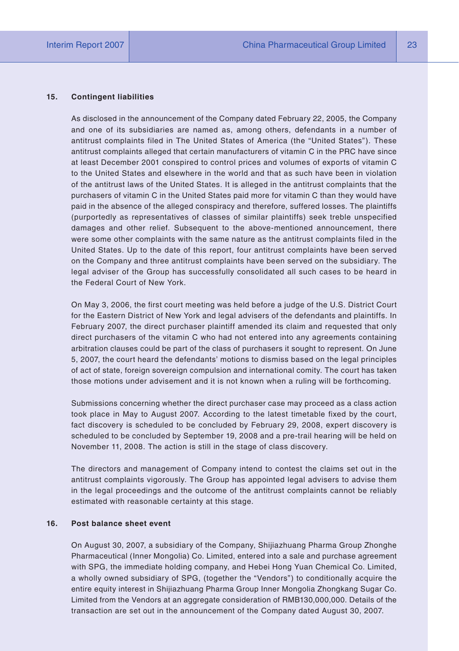#### **15. Contingent liabilities**

As disclosed in the announcement of the Company dated February 22, 2005, the Company and one of its subsidiaries are named as, among others, defendants in a number of antitrust complaints filed in The United States of America (the "United States"). These antitrust complaints alleged that certain manufacturers of vitamin C in the PRC have since at least December 2001 conspired to control prices and volumes of exports of vitamin C to the United States and elsewhere in the world and that as such have been in violation of the antitrust laws of the United States. It is alleged in the antitrust complaints that the purchasers of vitamin C in the United States paid more for vitamin C than they would have paid in the absence of the alleged conspiracy and therefore, suffered losses. The plaintiffs (purportedly as representatives of classes of similar plaintiffs) seek treble unspecified damages and other relief. Subsequent to the above-mentioned announcement, there were some other complaints with the same nature as the antitrust complaints filed in the United States. Up to the date of this report, four antitrust complaints have been served on the Company and three antitrust complaints have been served on the subsidiary. The legal adviser of the Group has successfully consolidated all such cases to be heard in the Federal Court of New York.

On May 3, 2006, the first court meeting was held before a judge of the U.S. District Court for the Eastern District of New York and legal advisers of the defendants and plaintiffs. In February 2007, the direct purchaser plaintiff amended its claim and requested that only direct purchasers of the vitamin C who had not entered into any agreements containing arbitration clauses could be part of the class of purchasers it sought to represent. On June 5, 2007, the court heard the defendants' motions to dismiss based on the legal principles of act of state, foreign sovereign compulsion and international comity. The court has taken those motions under advisement and it is not known when a ruling will be forthcoming.

Submissions concerning whether the direct purchaser case may proceed as a class action took place in May to August 2007. According to the latest timetable fixed by the court, fact discovery is scheduled to be concluded by February 29, 2008, expert discovery is scheduled to be concluded by September 19, 2008 and a pre-trail hearing will be held on November 11, 2008. The action is still in the stage of class discovery.

The directors and management of Company intend to contest the claims set out in the antitrust complaints vigorously. The Group has appointed legal advisers to advise them in the legal proceedings and the outcome of the antitrust complaints cannot be reliably estimated with reasonable certainty at this stage.

#### **16. Post balance sheet event**

On August 30, 2007, a subsidiary of the Company, Shijiazhuang Pharma Group Zhonghe Pharmaceutical (Inner Mongolia) Co. Limited, entered into a sale and purchase agreement with SPG, the immediate holding company, and Hebei Hong Yuan Chemical Co. Limited, a wholly owned subsidiary of SPG, (together the "Vendors") to conditionally acquire the entire equity interest in Shijiazhuang Pharma Group Inner Mongolia Zhongkang Sugar Co. Limited from the Vendors at an aggregate consideration of RMB130,000,000. Details of the transaction are set out in the announcement of the Company dated August 30, 2007.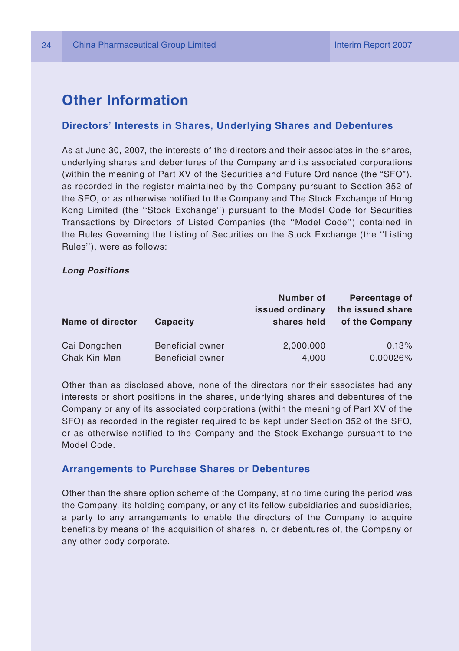# **Other Information**

#### **Directors' Interests in Shares, Underlying Shares and Debentures**

As at June 30, 2007, the interests of the directors and their associates in the shares, underlying shares and debentures of the Company and its associated corporations (within the meaning of Part XV of the Securities and Future Ordinance (the "SFO"), as recorded in the register maintained by the Company pursuant to Section 352 of the SFO, or as otherwise notified to the Company and The Stock Exchange of Hong Kong Limited (the ''Stock Exchange'') pursuant to the Model Code for Securities Transactions by Directors of Listed Companies (the ''Model Code'') contained in the Rules Governing the Listing of Securities on the Stock Exchange (the ''Listing Rules''), were as follows:

#### *Long Positions*

| Name of director | Capacity                | Number of<br>issued ordinary<br>shares held | Percentage of<br>the issued share<br>of the Company |
|------------------|-------------------------|---------------------------------------------|-----------------------------------------------------|
| Cai Dongchen     | <b>Beneficial owner</b> | 2,000,000                                   | 0.13%                                               |
| Chak Kin Man     | <b>Beneficial owner</b> | 4,000                                       | 0.00026%                                            |

Other than as disclosed above, none of the directors nor their associates had any interests or short positions in the shares, underlying shares and debentures of the Company or any of its associated corporations (within the meaning of Part XV of the SFO) as recorded in the register required to be kept under Section 352 of the SFO, or as otherwise notified to the Company and the Stock Exchange pursuant to the Model Code.

#### **Arrangements to Purchase Shares or Debentures**

Other than the share option scheme of the Company, at no time during the period was the Company, its holding company, or any of its fellow subsidiaries and subsidiaries, a party to any arrangements to enable the directors of the Company to acquire benefits by means of the acquisition of shares in, or debentures of, the Company or any other body corporate.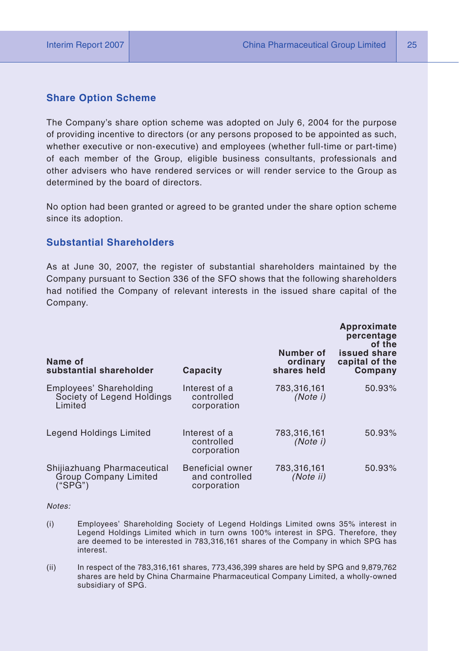#### **Share Option Scheme**

The Company's share option scheme was adopted on July 6, 2004 for the purpose of providing incentive to directors (or any persons proposed to be appointed as such, whether executive or non-executive) and employees (whether full-time or part-time) of each member of the Group, eligible business consultants, professionals and other advisers who have rendered services or will render service to the Group as determined by the board of directors.

No option had been granted or agreed to be granted under the share option scheme since its adoption.

#### **Substantial Shareholders**

As at June 30, 2007, the register of substantial shareholders maintained by the Company pursuant to Section 336 of the SFO shows that the following shareholders had notified the Company of relevant interests in the issued share capital of the Company.

| Name of<br>substantial shareholder                                     | Capacity                                                 | Number of<br>ordinary<br>shares held | Approximate<br>percentage<br>of the<br>issued share<br>capital of the<br>Company |
|------------------------------------------------------------------------|----------------------------------------------------------|--------------------------------------|----------------------------------------------------------------------------------|
| Employees' Shareholding<br>Society of Legend Holdings<br>Limited       | Interest of a<br>controlled<br>corporation               | 783,316,161<br>(Note i)              | 50.93%                                                                           |
| Legend Holdings Limited                                                | Interest of a<br>controlled<br>corporation               | 783.316.161<br>(Note i)              | 50.93%                                                                           |
| Shijiazhuang Pharmaceutical<br><b>Group Company Limited</b><br>("SPG") | <b>Beneficial owner</b><br>and controlled<br>corporation | 783.316.161<br>(Note ii)             | 50.93%                                                                           |

*Notes:* 

- (i) Employees' Shareholding Society of Legend Holdings Limited owns 35% interest in Legend Holdings Limited which in turn owns 100% interest in SPG. Therefore, they are deemed to be interested in 783,316,161 shares of the Company in which SPG has interest.
- (ii) In respect of the 783,316,161 shares, 773,436,399 shares are held by SPG and 9,879,762 shares are held by China Charmaine Pharmaceutical Company Limited, a wholly-owned subsidiary of SPG.